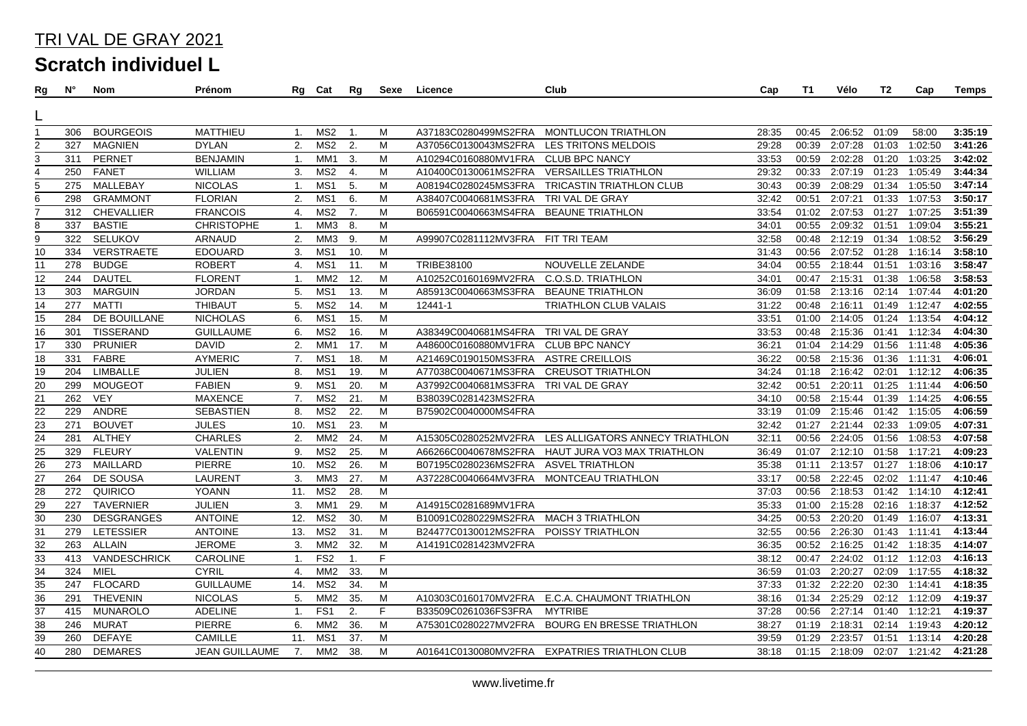| Rg              | N°  | Nom               | Prénom                |                | Rg Cat          | Rg              | Sexe | Licence                           | Club                                          | Cap   | T1    | Vélo          | T2    | Cap             | Temps   |
|-----------------|-----|-------------------|-----------------------|----------------|-----------------|-----------------|------|-----------------------------------|-----------------------------------------------|-------|-------|---------------|-------|-----------------|---------|
|                 |     |                   |                       |                |                 |                 |      |                                   |                                               |       |       |               |       |                 |         |
|                 |     |                   |                       |                |                 |                 |      |                                   |                                               |       |       |               |       |                 |         |
| 1               | 306 | <b>BOURGEOIS</b>  | MATTHIEU              | 1.             | MS2             | -1.             | M    | A37183C0280499MS2FRA              | MONTLUCON TRIATHLON                           | 28:35 |       | 00:45 2:06:52 | 01:09 | 58:00           | 3:35:19 |
| $\overline{2}$  | 327 | <b>MAGNIEN</b>    | <b>DYLAN</b>          | 2.             | MS <sub>2</sub> | 2.              | M    | A37056C0130043MS2FRA              | <b>LES TRITONS MELDOIS</b>                    | 29:28 | 00:39 | 2:07:28       | 01:03 | 1:02:50         | 3:41:26 |
| $\overline{3}$  | 311 | <b>PERNET</b>     | <b>BENJAMIN</b>       | $\mathbf{1}$ . | MM <sub>1</sub> | 3.              | м    | A10294C0160880MV1FRA              | <b>CLUB BPC NANCY</b>                         | 33:53 | 00:59 | 2:02:28       | 01:20 | 1:03:25         | 3:42:02 |
| $\overline{4}$  | 250 | <b>FANET</b>      | <b>WILLIAM</b>        | 3.             | MS <sub>2</sub> | 4.              | М    | A10400C0130061MS2FRA              | <b>VERSAILLES TRIATHLON</b>                   | 29:32 | 00:33 | 2:07:19       | 01:23 | 1:05:49         | 3:44:34 |
| 5               | 275 | MALLEBAY          | <b>NICOLAS</b>        | $\mathbf{1}$ . | MS1             | 5.              | M    | A08194C0280245MS3FRA              | <b>TRICASTIN TRIATHLON CLUB</b>               | 30:43 | 00:39 | 2:08:29       |       | 01:34 1:05:50   | 3:47:14 |
| 6               | 298 | <b>GRAMMONT</b>   | <b>FLORIAN</b>        | 2.             | MS <sub>1</sub> | 6.              | M    | A38407C0040681MS3FRA              | TRI VAL DE GRAY                               | 32:42 | 00:51 | 2:07:21       |       | 01:33 1:07:53   | 3:50:17 |
| $\overline{7}$  | 312 | <b>CHEVALLIER</b> | <b>FRANCOIS</b>       | 4.             | MS2             | 7.              | M    | B06591C0040663MS4FRA              | <b>BEAUNE TRIATHLON</b>                       | 33:54 |       | 01:02 2:07:53 |       | 01:27 1:07:25   | 3:51:39 |
| 8               | 337 | <b>BASTIE</b>     | <b>CHRISTOPHE</b>     | 1.             | MM3             | 8.              | M    |                                   |                                               | 34:01 | 00:55 | 2:09:32       | 01:51 | 1:09:04         | 3:55:21 |
| 9               | 322 | SELUKOV           | ARNAUD                | 2.             | MM3             | 9.              | M    | A99907C0281112MV3FRA FIT TRI TEAM |                                               | 32:58 |       | 00:48 2:12:19 |       | 01:34 1:08:52   | 3:56:29 |
| $\overline{10}$ | 334 | VERSTRAETE        | <b>EDOUARD</b>        | 3.             | MS1             | 10.             | M    |                                   |                                               | 31:43 | 00:56 | 2:07:52       | 01:28 | 1:16:14         | 3:58:10 |
| 11              | 278 | <b>BUDGE</b>      | <b>ROBERT</b>         | 4.             | MS1             | 11.             | M    | TRIBE38100                        | NOUVELLE ZELANDE                              | 34:04 |       | 00:55 2:18:44 |       | 01:51 1:03:16   | 3:58:47 |
| $\overline{12}$ | 244 | <b>DAUTEL</b>     | <b>FLORENT</b>        | 1.             | MM <sub>2</sub> | 12.             | M    | A10252C0160169MV2FRA              | C.O.S.D. TRIATHLON                            | 34:01 | 00:47 | 2:15:31       |       | 01:38 1:06:58   | 3:58:53 |
| 13              | 303 | <b>MARGUIN</b>    | <b>JORDAN</b>         | 5.             | MS1             | 13.             | M    | A85913C0040663MS3FRA              | <b>BEAUNE TRIATHLON</b>                       | 36:09 | 01:58 | 2:13:16       |       | 02:14 1:07:44   | 4:01:20 |
| 14              | 277 | <b>MATTI</b>      | <b>THIBAUT</b>        | 5.             | MS <sub>2</sub> | 14.             | M    | 12441-1                           | <b>TRIATHLON CLUB VALAIS</b>                  | 31:22 | 00:48 | 2:16:11       |       | 01:49 1:12:47   | 4:02:55 |
| 15              | 284 | DE BOUILLANE      | <b>NICHOLAS</b>       | 6.             | MS1             | 15.             | M    |                                   |                                               | 33:51 | 01:00 | 2:14:05       |       | 01:24 1:13:54   | 4:04:12 |
| $\overline{16}$ | 301 | TISSERAND         | <b>GUILLAUME</b>      | 6.             | MS <sub>2</sub> | 16.             | M    | A38349C0040681MS4FRA              | TRI VAL DE GRAY                               | 33:53 | 00:48 | 2:15:36       | 01:41 | 1:12:34         | 4:04:30 |
| 17              | 330 | <b>PRUNIER</b>    | <b>DAVID</b>          | 2.             | MM <sub>1</sub> | 17.             | M    | A48600C0160880MV1FRA              | <b>CLUB BPC NANCY</b>                         | 36:21 | 01:04 | 2:14:29       | 01:56 | 1:11:48         | 4:05:36 |
| $\overline{18}$ | 331 | FABRE             | <b>AYMERIC</b>        | 7.             | MS <sub>1</sub> | 18.             | М    | A21469C0190150MS3FRA              | <b>ASTRE CREILLOIS</b>                        | 36:22 | 00:58 | 2:15:36       |       | 01:36 1:11:31   | 4:06:01 |
| 19              | 204 | <b>LIMBALLE</b>   | JULIEN                | 8.             | MS1             | 19.             | M    | A77038C0040671MS3FRA              | <b>CREUSOT TRIATHLON</b>                      | 34:24 | 01:18 | 2:16:42       | 02:01 | 1:12:12         | 4:06:35 |
| $\frac{20}{2}$  | 299 | <b>MOUGEOT</b>    | <b>FABIEN</b>         | 9.             | MS1             | $\overline{20}$ | M    | A37992C0040681MS3FRA              | TRI VAL DE GRAY                               | 32:42 | 00:51 | 2:20:11       |       | 01:25 1:11:44   | 4:06:50 |
| 21              | 262 | <b>VEY</b>        | <b>MAXENCE</b>        | 7.             | MS <sub>2</sub> | 21.             | M    | B38039C0281423MS2FRA              |                                               | 34:10 | 00:58 | 2:15:44       |       | 01:39 1:14:25   | 4:06:55 |
| $\overline{22}$ | 229 | <b>ANDRE</b>      | <b>SEBASTIEN</b>      | 8.             | MS <sub>2</sub> | 22.             | M    | B75902C0040000MS4FRA              |                                               | 33:19 | 01:09 | 2:15:46       |       | 01:42 1:15:05   | 4:06:59 |
| 23              | 271 | <b>BOUVET</b>     | <b>JULES</b>          | 10.            | MS1             | 23.             | M    |                                   |                                               | 32:42 | 01:27 | 2:21:44       |       | 02:33 1:09:05   | 4:07:31 |
| $\overline{24}$ | 281 | <b>ALTHEY</b>     | <b>CHARLES</b>        | 2.             | MM <sub>2</sub> | 24.             | M    | A15305C0280252MV2FRA              | LES ALLIGATORS ANNECY TRIATHLON               | 32:11 | 00:56 | 2:24:05       | 01:56 | 1:08:53         | 4:07:58 |
| $\overline{25}$ | 329 | <b>FLEURY</b>     | <b>VALENTIN</b>       | 9.             | MS <sub>2</sub> | 25.             | M    | A66266C0040678MS2FRA              | <b>HAUT JURA VO3 MAX TRIATHLON</b>            | 36:49 | 01:07 | 2:12:10       |       | 01:58 1:17:21   | 4:09:23 |
| 26              | 273 | MAILLARD          | <b>PIERRE</b>         | 10.            | MS <sub>2</sub> | 26.             | M    | B07195C0280236MS2FRA              | <b>ASVEL TRIATHLON</b>                        | 35:38 | 01:11 | 2:13:57       |       | 01:27 1:18:06   | 4:10:17 |
| $\overline{27}$ | 264 | DE SOUSA          | <b>LAURENT</b>        | 3.             | MM3             | 27.             | M    | A37228C0040664MV3FRA              | MONTCEAU TRIATHLON                            | 33:17 | 00:58 | 2:22:45       |       | 02:02 1:11:47   | 4:10:46 |
| $\frac{28}{5}$  | 272 | QUIRICO           | <b>YOANN</b>          | 11.            | MS <sub>2</sub> | 28.             | M    |                                   |                                               | 37:03 | 00:56 | 2:18:53       |       | 01:42 1:14:10   | 4:12:41 |
| $\overline{29}$ | 227 | <b>TAVERNIER</b>  | <b>JULIEN</b>         | 3.             | MM1             | 29.             | M    | A14915C0281689MV1FRA              |                                               | 35:33 | 01:00 | 2:15:28       |       | 02:16 1:18:37   | 4:12:52 |
| 30              | 230 | <b>DESGRANGES</b> | <b>ANTOINE</b>        | 12.            | MS <sub>2</sub> | 30.             | M    | B10091C0280229MS2FRA              | <b>MACH 3 TRIATHLON</b>                       | 34:25 | 00:53 | 2:20:20       |       | 01:49 1:16:07   | 4:13:31 |
| 31              | 279 | <b>LETESSIER</b>  | <b>ANTOINE</b>        | 13.            | MS <sub>2</sub> | 31.             | М    | B24477C0130012MS2FRA              | POISSY TRIATHLON                              | 32:55 | 00:56 | 2:26:30       |       | 01:43 1:11:41   | 4:13:44 |
| 32              | 263 | <b>ALLAIN</b>     | <b>JEROME</b>         | 3.             | MM <sub>2</sub> | 32.             | M    | A14191C0281423MV2FRA              |                                               | 36:35 | 00:52 | 2:16:25       |       | 01:42 1:18:35   | 4:14:07 |
| $\overline{33}$ | 413 | VANDESCHRICK      | <b>CAROLINE</b>       | $\mathbf{1}$ . | FS <sub>2</sub> | 1.              | F    |                                   |                                               | 38:12 | 00:47 | 2:24:02       |       | 01:12 1:12:03   | 4:16:13 |
| 34              | 324 | MIEL              | <b>CYRIL</b>          | 4.             | MM <sub>2</sub> | 33.             | M    |                                   |                                               | 36:59 | 01:03 | 2:20:27       |       | 02:09 1:17:55   | 4:18:32 |
| $\overline{35}$ | 247 | <b>FLOCARD</b>    | <b>GUILLAUME</b>      | 14.            | MS <sub>2</sub> | 34.             | M    |                                   |                                               | 37:33 | 01:32 | 2:22:20       |       | 02:30 1:14:41   | 4:18:35 |
| 36              | 291 | <b>THEVENIN</b>   | <b>NICOLAS</b>        | 5.             | MM <sub>2</sub> | 35.             | M    | A10303C0160170MV2FRA              | E.C.A. CHAUMONT TRIATHLON                     | 38:16 | 01:34 | 2:25:29       |       | $02:12$ 1:12:09 | 4:19:37 |
| $\overline{37}$ | 415 | <b>MUNAROLO</b>   | ADELINE               | $\mathbf{1}$   | FS <sub>1</sub> | 2.              | F    | B33509C0261036FS3FRA              | <b>MYTRIBE</b>                                | 37:28 | 00:56 | 2:27:14       | 01:40 | 1:12:21         | 4:19:37 |
| 38              | 246 | <b>MURAT</b>      | PIERRE                | 6.             | MM <sub>2</sub> | 36.             | M    | A75301C0280227MV2FRA              | <b>BOURG EN BRESSE TRIATHLON</b>              | 38:27 | 01:19 | 2:18:31       |       | 02:14 1:19:43   | 4:20:12 |
| $\overline{39}$ | 260 | <b>DEFAYE</b>     | <b>CAMILLE</b>        | 11.            | MS <sub>1</sub> | 37.             | M    |                                   |                                               | 39:59 | 01:29 | 2:23:57       | 01:51 | 1:13:14         | 4:20:28 |
| 40              | 280 | <b>DEMARES</b>    | <b>JEAN GUILLAUME</b> | 7.             | MM2             | 38.             | M    |                                   | A01641C0130080MV2FRA EXPATRIES TRIATHLON CLUB | 38:18 |       | 01:15 2:18:09 |       | 02:07 1:21:42   | 4:21:28 |
|                 |     |                   |                       |                |                 |                 |      |                                   |                                               |       |       |               |       |                 |         |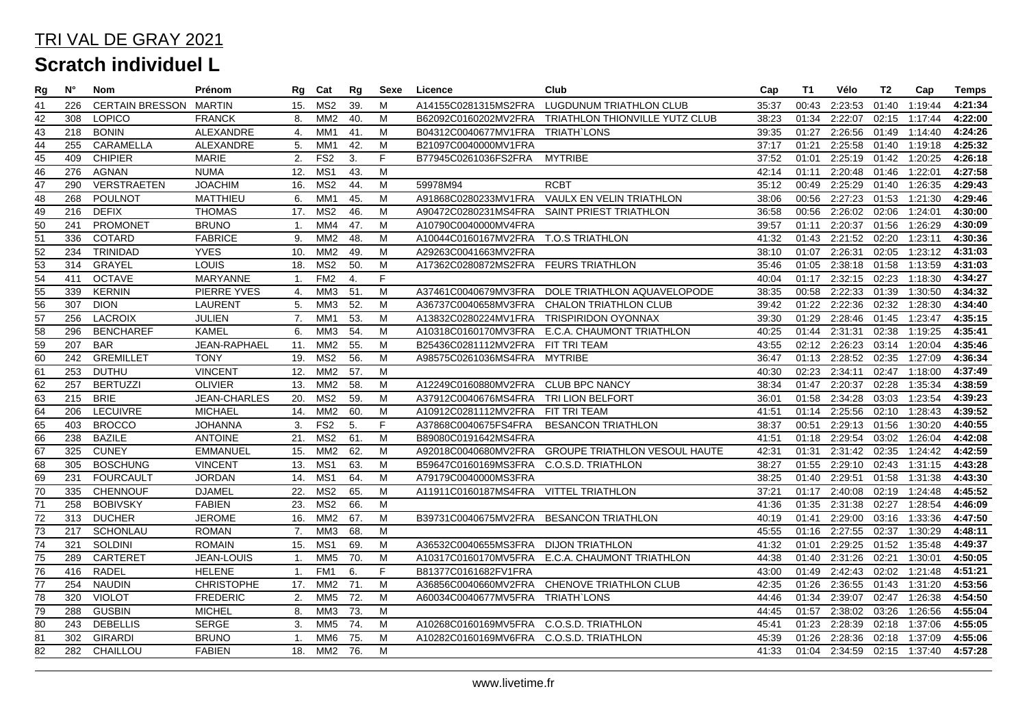| Rg              | N°  | Nom                    | Prénom              | Rg             | Cat             | Rg              | Sexe | Licence                                 | Club                                           | Cap   | <b>T1</b> | Vélo                        | T2    | Cap           | <b>Temps</b> |
|-----------------|-----|------------------------|---------------------|----------------|-----------------|-----------------|------|-----------------------------------------|------------------------------------------------|-------|-----------|-----------------------------|-------|---------------|--------------|
| 41              | 226 | <b>CERTAIN BRESSON</b> | <b>MARTIN</b>       | 15.            | MS2             | 39.             | M    | A14155C0281315MS2FRA                    | LUGDUNUM TRIATHLON CLUB                        | 35:37 | 00:43     | 2:23:53                     | 01:40 | 1:19:44       | 4:21:34      |
| 42              | 308 | <b>LOPICO</b>          | <b>FRANCK</b>       | 8.             | MM2             | 40.             | M    | B62092C0160202MV2FRA                    | TRIATHLON THIONVILLE YUTZ CLUB                 | 38:23 | 01:34     | 2:22:07                     | 02:15 | 1:17:44       | 4:22:00      |
| 43              | 218 | <b>BONIN</b>           | ALEXANDRE           | 4.             | MM1             | 41.             | M    | B04312C0040677MV1FRA                    | TRIATH`LONS                                    | 39:35 | 01:27     | 2:26:56 01:49 1:14:40       |       |               | 4:24:26      |
| 44              | 255 | CARAMELLA              | <b>ALEXANDRE</b>    | 5.             | MM1             | 42.             | M    | B21097C0040000MV1FRA                    |                                                | 37:17 | 01:21     | 2:25:58 01:40 1:19:18       |       |               | 4:25:32      |
| 45              | 409 | <b>CHIPIER</b>         | <b>MARIE</b>        | 2.             | FS <sub>2</sub> | 3.              | F    | B77945C0261036FS2FRA                    | <b>MYTRIBE</b>                                 | 37:52 | 01:01     | 2:25:19 01:42 1:20:25       |       |               | 4:26:18      |
| 46              | 276 | AGNAN                  | <b>NUMA</b>         | 12.            | MS1             | 43.             | M    |                                         |                                                | 42:14 | 01:11     | 2:20:48 01:46 1:22:01       |       |               | 4:27:58      |
| $\overline{47}$ | 290 | <b>VERSTRAETEN</b>     | <b>JOACHIM</b>      | 16.            | MS <sub>2</sub> | 44.             | M    | 59978M94                                | <b>RCBT</b>                                    | 35:12 | 00:49     | 2:25:29                     |       | 01:40 1:26:35 | 4:29:43      |
| 48              | 268 | <b>POULNOT</b>         | <b>MATTHIEU</b>     | 6.             | MM1             | 45.             | M    | A91868C0280233MV1FRA                    | VAULX EN VELIN TRIATHLON                       | 38:06 | 00:56     | 2:27:23                     | 01:53 | 1:21:30       | 4:29:46      |
| $\overline{49}$ | 216 | <b>DEFIX</b>           | <b>THOMAS</b>       |                | 17. MS2         | 46.             | M    | A90472C0280231MS4FRA                    | SAINT PRIEST TRIATHLON                         | 36:58 | 00:56     | 2:26:02                     | 02:06 | 1:24:01       | 4:30:00      |
| 50              | 241 | PROMONET               | <b>BRUNO</b>        | $\mathbf{1}$ . | MM4             | 47.             | M    | A10790C0040000MV4FRA                    |                                                | 39:57 | 01:11     | 2:20:37                     | 01:56 | 1:26:29       | 4:30:09      |
| $\overline{51}$ | 336 | <b>COTARD</b>          | <b>FABRICE</b>      | 9.             | MM <sub>2</sub> | 48.             | M    | A10044C0160167MV2FRA                    | <b>T.O.S TRIATHLON</b>                         | 41:32 | 01:43     | 2:21:52                     | 02:20 | 1:23:11       | 4:30:36      |
| $\overline{52}$ | 234 | TRINIDAD               | <b>YVES</b>         | 10.            | MM2             | 49.             | M    | A29263C0041663MV2FRA                    |                                                | 38:10 | 01:07     | 2:26:31                     | 02:05 | 1:23:12       | 4:31:03      |
|                 | 314 | GRAYEL                 | <b>LOUIS</b>        | 18.            | MS2             | 50.             | M    | A17362C0280872MS2FRA FEURS TRIATHLON    |                                                | 35:46 | 01:05     | 2:38:18 01:58 1:13:59       |       |               | 4:31:03      |
| $\frac{53}{54}$ | 411 | <b>OCTAVE</b>          | MARYANNE            | 1.             | FM <sub>2</sub> | 4.              | F    |                                         |                                                | 40:04 | 01:17     | 2:32:15 02:23 1:18:30       |       |               | 4:34:27      |
| 55              | 339 | <b>KERNIN</b>          | <b>PIERRE YVES</b>  | 4.             | MM3             | 51.             | M    | A37461C0040679MV3FRA                    | DOLE TRIATHLON AQUAVELOPODE                    | 38:35 | 00:58     | 2:22:33                     |       | 01:39 1:30:50 | 4:34:32      |
| $\overline{56}$ | 307 | <b>DION</b>            | LAURENT             | 5.             | ММЗ             | 52.             | M    | A36737C0040658MV3FRA                    | CHALON TRIATHLON CLUB                          | 39:42 | 01:22     | 2:22:36                     | 02:32 | 1:28:30       | 4:34:40      |
| 57              | 256 | <b>LACROIX</b>         | <b>JULIEN</b>       | 7.             | MM1             | 53.             | M    | A13832C0280224MV1FRA                    | <b>TRISPIRIDON OYONNAX</b>                     | 39:30 | 01:29     | 2:28:46                     | 01:45 | 1:23:47       | 4:35:15      |
| $\frac{58}{59}$ | 296 | <b>BENCHAREF</b>       | <b>KAMEL</b>        | 6.             | MM3             | 54.             | M    |                                         | A10318C0160170MV3FRA E.C.A. CHAUMONT TRIATHLON | 40:25 | 01:44     | 2:31:31                     | 02:38 | 1:19:25       | 4:35:41      |
|                 | 207 | <b>BAR</b>             | JEAN-RAPHAEL        | 11.            | MM2             | $\overline{55}$ | M    | B25436C0281112MV2FRA                    | FIT TRI TEAM                                   | 43:55 | 02:12     | 2:26:23                     | 03:14 | 1:20:04       | 4:35:46      |
| $\overline{60}$ | 242 | <b>GREMILLET</b>       | <b>TONY</b>         | 19.            | MS2             | 56.             | M    | A98575C0261036MS4FRA                    | <b>MYTRIBE</b>                                 | 36:47 | 01:13     | 2:28:52                     | 02:35 | 1:27:09       | 4:36:34      |
| 61              | 253 | <b>DUTHU</b>           | <b>VINCENT</b>      | 12.            | MM <sub>2</sub> | 57.             | M    |                                         |                                                | 40:30 | 02:23     | 2:34:11                     |       | 02:47 1:18:00 | 4:37:49      |
| 62              | 257 | <b>BERTUZZI</b>        | <b>OLIVIER</b>      |                | 13. MM2         | 58.             | M    | A12249C0160880MV2FRA CLUB BPC NANCY     |                                                | 38:34 | 01:47     | 2:20:37                     |       | 02:28 1:35:34 | 4:38:59      |
| 63              | 215 | <b>BRIE</b>            | <b>JEAN-CHARLES</b> | 20.            | MS <sub>2</sub> | 59.             | M    | A37912C0040676MS4FRA                    | TRI LION BELFORT                               | 36:01 | 01:58     | 2:34:28                     | 03:03 | 1:23:54       | 4:39:23      |
| 64              | 206 | LECUIVRE               | <b>MICHAEL</b>      | 14.            | MM <sub>2</sub> | 60.             | M    | A10912C0281112MV2FRA                    | FIT TRI TEAM                                   | 41:51 | 01:14     | 2:25:56                     |       | 02:10 1:28:43 | 4:39:52      |
| $\overline{65}$ | 403 | <b>BROCCO</b>          | <b>JOHANNA</b>      | 3.             | FS <sub>2</sub> | 5.              | F    | A37868C0040675FS4FRA                    | <b>BESANCON TRIATHLON</b>                      | 38:37 | 00:51     | 2:29:13                     | 01:56 | 1:30:20       | 4:40:55      |
| 66              | 238 | <b>BAZILE</b>          | <b>ANTOINE</b>      |                | 21. MS2         | 61.             | M    | B89080C0191642MS4FRA                    |                                                | 41:51 | 01:18     | 2:29:54                     | 03:02 | 1:26:04       | 4:42:08      |
| $\overline{67}$ | 325 | <b>CUNEY</b>           | <b>EMMANUEL</b>     | 15.            | MM2             | 62.             | M    | A92018C0040680MV2FRA                    | <b>GROUPE TRIATHLON VESOUL HAUTE</b>           | 42:31 | 01:31     | 2:31:42                     | 02:35 | 1:24:42       | 4:42:59      |
| 68              | 305 | <b>BOSCHUNG</b>        | <b>VINCENT</b>      | 13.            | MS1             | 63.             | M    | B59647C0160169MS3FRA                    | C.O.S.D. TRIATHLON                             | 38:27 | 01:55     | 2:29:10                     | 02:43 | 1:31:15       | 4:43:28      |
| 69              | 231 | <b>FOURCAULT</b>       | <b>JORDAN</b>       | 14.            | MS1             | 64.             | M    | A79179C0040000MS3FRA                    |                                                | 38:25 | 01:40     | 2:29:51                     | 01:58 | 1:31:38       | 4:43:30      |
| $\overline{70}$ | 335 | <b>CHENNOUF</b>        | <b>DJAMEL</b>       | 22.            | MS2             | 65.             | M    | A11911C0160187MS4FRA VITTEL TRIATHLON   |                                                | 37:21 | 01:17     | 2:40:08                     | 02:19 | 1:24:48       | 4:45:52      |
| 71              | 258 | <b>BOBIVSKY</b>        | <b>FABIEN</b>       | 23.            | MS2             | 66.             | M    |                                         |                                                | 41:36 | 01:35     | 2:31:38                     | 02:27 | 1:28:54       | 4:46:09      |
| $\overline{72}$ | 313 | <b>DUCHER</b>          | <b>JEROME</b>       | 16.            | MM <sub>2</sub> | 67.             | M    | B39731C0040675MV2FRA BESANCON TRIATHLON |                                                | 40:19 | 01:41     | 2:29:00                     | 03:16 | 1:33:36       | 4:47:50      |
| $\overline{73}$ | 217 | SCHONLAU               | <b>ROMAN</b>        | 7.             | MM3             | 68.             | M    |                                         |                                                | 45:55 | 01:16     | 2:27:55                     | 02:37 | 1:30:29       | 4:48:11      |
| $\overline{74}$ | 321 | <b>SOLDINI</b>         | <b>ROMAIN</b>       | 15.            | MS1             | 69.             | M    | A36532C0040655MS3FRA                    | <b>DIJON TRIATHLON</b>                         | 41:32 | 01:01     | 2:29:25                     | 01:52 | 1:35:48       | 4:49:37      |
| 75              | 289 | CARTERET               | JEAN-LOUIS          | -1.            | MM5             | 70.             | м    | A10317C0160170MV5FRA                    | E.C.A. CHAUMONT TRIATHLON                      | 44:38 | 01:40     | 2:31:26                     | 02:21 | 1:30:01       | 4:50:05      |
| $\overline{76}$ | 416 | <b>RADEL</b>           | <b>HELENE</b>       | 1.             | FM1             | 6.              | F    | B81377C0161682FV1FRA                    |                                                | 43:00 | 01:49     | 2:42:43                     |       | 02:02 1:21:48 | 4:51:21      |
| $77$            | 254 | <b>NAUDIN</b>          | <b>CHRISTOPHE</b>   | 17.            | MM <sub>2</sub> | 71.             | M    | A36856C0040660MV2FRA                    | CHENOVE TRIATHLON CLUB                         | 42:35 | 01:26     | 2:36:55                     | 01:43 | 1:31:20       | 4:53:56      |
| $\overline{78}$ | 320 | <b>VIOLOT</b>          | <b>FREDERIC</b>     | 2.             | MM <sub>5</sub> | 72.             | M    | A60034C0040677MV5FRA                    | <b>TRIATH'LONS</b>                             | 44:46 | 01:34     | 2:39:07                     | 02:47 | 1:26:38       | 4:54:50      |
| 79              | 288 | <b>GUSBIN</b>          | <b>MICHEL</b>       | 8.             | ММЗ             | 73.             | M    |                                         |                                                | 44:45 | 01:57     | 2:38:02                     | 03:26 | 1:26:56       | 4:55:04      |
| 80              | 243 | <b>DEBELLIS</b>        | <b>SERGE</b>        | 3.             | MM5             | 74.             | M    | A10268C0160169MV5FRA C.O.S.D. TRIATHLON |                                                | 45:41 | 01:23     | 2:28:39                     |       | 02:18 1:37:06 | 4:55:05      |
| $\overline{81}$ | 302 | <b>GIRARDI</b>         | <b>BRUNO</b>        | $\mathbf{1}$ . | MM6             | 75.             | M    | A10282C0160169MV6FRA C.O.S.D. TRIATHLON |                                                | 45:39 | 01:26     | 2:28:36                     | 02:18 | 1:37:09       | 4:55:06      |
| 82              | 282 | CHAILLOU               | <b>FABIEN</b>       |                | 18. MM2 76.     |                 | M    |                                         |                                                | 41:33 |           | 01:04 2:34:59 02:15 1:37:40 |       |               | 4:57:28      |
|                 |     |                        |                     |                |                 |                 |      |                                         |                                                |       |           |                             |       |               |              |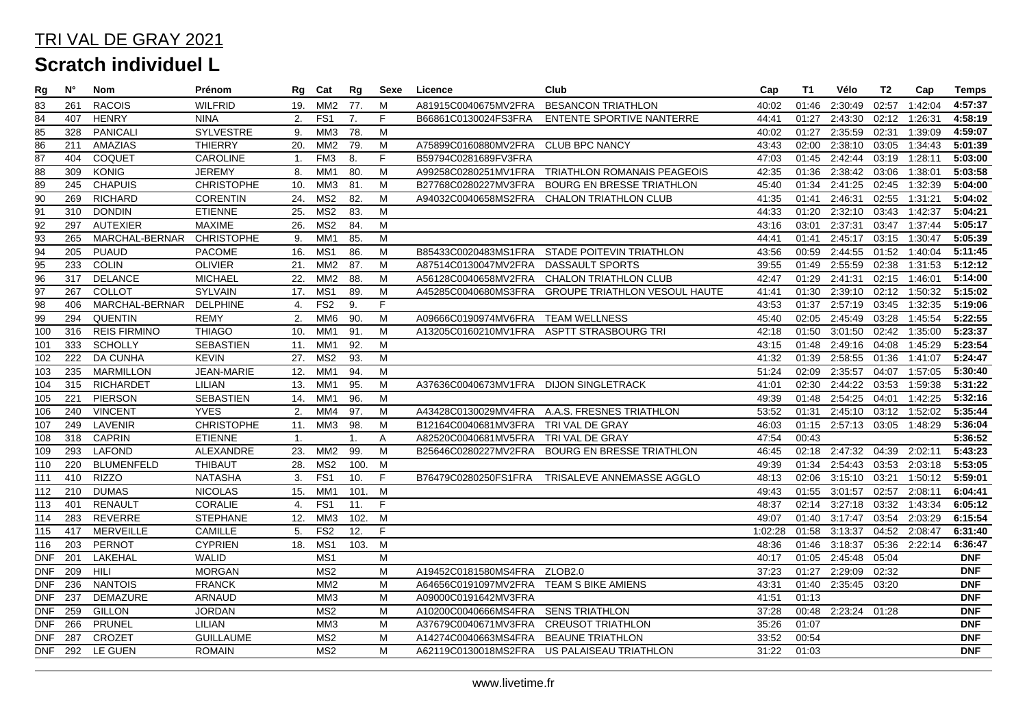| Rg              | Ν°  | Nom                       | Prénom            | Rg             | Cat             | Rg             | Sexe | Licence                                | Club                                          | Cap     | T1    | Vélo                | T2    | Cap           | <b>Temps</b> |
|-----------------|-----|---------------------------|-------------------|----------------|-----------------|----------------|------|----------------------------------------|-----------------------------------------------|---------|-------|---------------------|-------|---------------|--------------|
| 83              | 261 | <b>RACOIS</b>             | <b>WILFRID</b>    | 19.            | MM <sub>2</sub> | 77.            | M    | A81915C0040675MV2FRA                   | <b>BESANCON TRIATHLON</b>                     | 40:02   | 01:46 | 2:30:49             | 02:57 | 1:42:04       | 4:57:37      |
| 84              | 407 | <b>HENRY</b>              | <b>NINA</b>       | 2.             | FS <sub>1</sub> | 7.             | F.   | B66861C0130024FS3FRA                   | ENTENTE SPORTIVE NANTERRE                     | 44:41   | 01:27 | 2:43:30             | 02:12 | 1:26:31       | 4:58:19      |
| 85              | 328 | <b>PANICALI</b>           | SYLVESTRE         | 9.             | MM3             | 78.            | M    |                                        |                                               | 40:02   | 01:27 | 2:35:59             | 02:31 | 1:39:09       | 4:59:07      |
| $\overline{86}$ | 211 | AMAZIAS                   | <b>THIERRY</b>    | 20.            | MM <sub>2</sub> | 79.            | M    | A75899C0160880MV2FRA CLUB BPC NANCY    |                                               | 43:43   | 02:00 | 2:38:10             | 03:05 | 1:34:43       | 5:01:39      |
| 87              | 404 | COQUET                    | <b>CAROLINE</b>   | $\mathbf{1}$ . | FM <sub>3</sub> | 8.             | F    | B59794C0281689FV3FRA                   |                                               | 47:03   | 01:45 | 2:42:44             |       | 03:19 1:28:11 | 5:03:00      |
| 88              | 309 | <b>KONIG</b>              | <b>JEREMY</b>     | 8.             | MM1             | 80.            | M    | A99258C0280251MV1FRA                   | <b>TRIATHLON ROMANAIS PEAGEOIS</b>            | 42:35   | 01:36 | 2:38:42             |       | 03:06 1:38:01 | 5:03:58      |
| 89              | 245 | <b>CHAPUIS</b>            | <b>CHRISTOPHE</b> | 10.            | MM3             | 81.            | M    | B27768C0280227MV3FRA                   | BOURG EN BRESSE TRIATHLON                     | 45:40   | 01:34 | 2:41:25             |       | 02:45 1:32:39 | 5:04:00      |
| 90              | 269 | <b>RICHARD</b>            | <b>CORENTIN</b>   | 24.            | MS <sub>2</sub> | 82.            | M    | A94032C0040658MS2FRA                   | CHALON TRIATHLON CLUB                         | 41:35   | 01:41 | 2:46:31             |       | 02:55 1:31:21 | 5:04:02      |
| $\overline{91}$ | 310 | <b>DONDIN</b>             | <b>ETIENNE</b>    | 25.            | MS2             | 83.            | M    |                                        |                                               | 44:33   | 01:20 | 2:32:10             |       | 03:43 1:42:37 | 5:04:21      |
| 92              | 297 | <b>AUTEXIER</b>           | <b>MAXIME</b>     | 26.            | MS2             | 84.            | M    |                                        |                                               | 43:16   | 03:01 | 2:37:31             |       | 03:47 1:37:44 | 5:05:17      |
| $\overline{93}$ | 265 | MARCHAL-BERNAR CHRISTOPHE |                   | 9.             | MM1             | 85.            | M    |                                        |                                               | 44:41   | 01:41 | 2:45:17             |       | 03:15 1:30:47 | 5:05:39      |
| 94              | 205 | <b>PUAUD</b>              | PACOME            | 16.            | MS1             | 86.            | M    |                                        | B85433C0020483MS1FRA STADE POITEVIN TRIATHLON | 43:56   | 00:59 | 2:44:55             |       | 01:52 1:40:04 | 5:11:45      |
| $\overline{95}$ | 233 | <b>COLIN</b>              | <b>OLIVIER</b>    | 21.            | MM <sub>2</sub> | 87.            | M    | A87514C0130047MV2FRA                   | DASSAULT SPORTS                               | 39:55   | 01:49 | 2:55:59             | 02:38 | 1:31:53       | 5:12:12      |
| 96              | 317 | <b>DELANCE</b>            | <b>MICHAEL</b>    | 22.            | MM <sub>2</sub> | 88.            | M    | A56128C0040658MV2FRA                   | CHALON TRIATHLON CLUB                         | 42:47   | 01:29 | 2:41:31             |       | 02:15 1:46:01 | 5:14:00      |
| $\overline{97}$ | 267 | <b>COLLOT</b>             | <b>SYLVAIN</b>    | 17.            | MS1             | 89.            | M    | A45285C0040680MS3FRA                   | <b>GROUPE TRIATHLON VESOUL HAUTE</b>          | 41:41   | 01:30 | 2:39:10             |       | 02:12 1:50:32 | 5:15:02      |
| $\overline{98}$ | 406 | MARCHAL-BERNAR            | <b>DELPHINE</b>   | 4.             | FS2             | 9.             | F    |                                        |                                               | 43:53   | 01:37 | 2:57:19             |       | 03:45 1:32:35 | 5:19:06      |
| 99              | 294 | <b>QUENTIN</b>            | <b>REMY</b>       | 2.             | MM6             | 90.            | M    | A09666C0190974MV6FRA TEAM WELLNESS     |                                               | 45:40   | 02:05 | 2:45:49             |       | 03:28 1:45:54 | 5:22:55      |
| 100             | 316 | <b>REIS FIRMINO</b>       | <b>THIAGO</b>     | 10.            | MM1             | 91.            | M    |                                        | A13205C0160210MV1FRA ASPTT STRASBOURG TRI     | 42:18   | 01:50 | 3:01:50             |       | 02:42 1:35:00 | 5:23:37      |
| 101             | 333 | <b>SCHOLLY</b>            | <b>SEBASTIEN</b>  | 11.            | MM1             | 92.            | M    |                                        |                                               | 43:15   | 01:48 | 2:49:16             |       | 04:08 1:45:29 | 5:23:54      |
| 102             | 222 | <b>DA CUNHA</b>           | <b>KEVIN</b>      | 27.            | MS <sub>2</sub> | 93.            | M    |                                        |                                               | 41:32   | 01:39 | 2:58:55             |       | 01:36 1:41:07 | 5:24:47      |
| 103             | 235 | <b>MARMILLON</b>          | <b>JEAN-MARIE</b> | 12.            | MM1             | 94.            | M    |                                        |                                               | 51:24   | 02:09 | 2:35:57             |       | 04:07 1:57:05 | 5:30:40      |
| 104             | 315 | RICHARDET                 | LILIAN            | 13.            | MM1             | 95.            | M    | A37636C0040673MV1FRA DIJON SINGLETRACK |                                               | 41:01   | 02:30 | 2:44:22             |       | 03:53 1:59:38 | 5:31:22      |
| 105             | 221 | <b>PIERSON</b>            | <b>SEBASTIEN</b>  | 14.            | MM1             | 96.            | M    |                                        |                                               | 49:39   | 01:48 | 2:54:25             | 04:01 | 1:42:25       | 5:32:16      |
| 106             | 240 | <b>VINCENT</b>            | <b>YVES</b>       | 2.             | MM4             | 97.            | M    | A43428C0130029MV4FRA                   | A.A.S. FRESNES TRIATHLON                      | 53:52   | 01:31 | 2:45:10             |       | 03:12 1:52:02 | 5:35:44      |
| 107             | 249 | LAVENIR                   | <b>CHRISTOPHE</b> | 11.            | MM3             | 98.            | M    | B12164C0040681MV3FRA                   | TRI VAL DE GRAY                               | 46:03   | 01:15 | 2:57:13             | 03:05 | 1:48:29       | 5:36:04      |
| 108             | 318 | <b>CAPRIN</b>             | <b>ETIENNE</b>    | 1.             |                 | $\mathbf{1}$ . | A    | A82520C0040681MV5FRA                   | TRI VAL DE GRAY                               | 47:54   | 00:43 |                     |       |               | 5:36:52      |
| 109             | 293 | <b>LAFOND</b>             | <b>ALEXANDRE</b>  | 23.            | MM <sub>2</sub> | 99.            | M    | B25646C0280227MV2FRA                   | <b>BOURG EN BRESSE TRIATHLON</b>              | 46:45   | 02:18 | 2:47:32             | 04:39 | 2:02:11       | 5:43:23      |
| 110             | 220 | <b>BLUMENFELD</b>         | <b>THIBAUT</b>    | 28.            | MS2             | 100.           | M    |                                        |                                               | 49:39   | 01:34 | 2:54:43             |       | 03:53 2:03:18 | 5:53:05      |
| 111             | 410 | <b>RIZZO</b>              | <b>NATASHA</b>    | 3.             | FS1             | 10.            | E    | B76479C0280250FS1FRA                   | TRISALEVE ANNEMASSE AGGLO                     | 48:13   |       | 02:06 3:15:10 03:21 |       | 1:50:12       | 5:59:01      |
| 112             | 210 | <b>DUMAS</b>              | <b>NICOLAS</b>    | 15.            | MM1             | 101.           | M    |                                        |                                               | 49:43   | 01:55 | 3:01:57             | 02:57 | 2:08:11       | 6:04:41      |
| 113             | 401 | <b>RENAULT</b>            | <b>CORALIE</b>    | 4.             | FS <sub>1</sub> | 11.            | F    |                                        |                                               | 48:37   | 02:14 | 3:27:18             |       | 03:32 1:43:34 | 6:05:12      |
| 114             | 283 | REVERRE                   | <b>STEPHANE</b>   | 12.            | ММЗ             | 102.           | M    |                                        |                                               | 49:07   | 01:40 | 3:17:47             |       | 03:54 2:03:29 | 6:15:54      |
| 115             | 417 | <b>MERVEILLE</b>          | CAMILLE           | 5.             | FS <sub>2</sub> | 12.            | F    |                                        |                                               | 1:02:28 | 01:58 | 3:13:37             |       | 04:52 2:08:47 | 6:31:40      |
| 116             | 203 | <b>PERNOT</b>             | <b>CYPRIEN</b>    | 18.            | MS1             | 103.           | M    |                                        |                                               | 48:36   | 01:46 | 3:18:37             |       | 05:36 2:22:14 | 6:36:47      |
| <b>DNF</b>      | 201 | LAKEHAL                   | <b>WALID</b>      |                | MS1             |                | M    |                                        |                                               | 40:17   | 01:05 | 2:45:48             | 05:04 |               | <b>DNF</b>   |
| DNF             | 209 | <b>HILI</b>               | <b>MORGAN</b>     |                | MS <sub>2</sub> |                | M    | A19452C0181580MS4FRA                   | ZLOB2.0                                       | 37:23   | 01:27 | 2:29:09             | 02:32 |               | <b>DNF</b>   |
| <b>DNF</b>      | 236 | <b>NANTOIS</b>            | <b>FRANCK</b>     |                | MM <sub>2</sub> |                | M    | A64656C0191097MV2FRA                   | TEAM S BIKE AMIENS                            | 43:31   | 01:40 | 2:35:45             | 03:20 |               | <b>DNF</b>   |
| <b>DNF</b>      | 237 | DEMAZURE                  | ARNAUD            |                | MM3             |                | M    | A09000C0191642MV3FRA                   |                                               | 41:51   | 01:13 |                     |       |               | <b>DNF</b>   |
| <b>DNF</b>      | 259 | <b>GILLON</b>             | <b>JORDAN</b>     |                | MS <sub>2</sub> |                | M    | A10200C0040666MS4FRA                   | <b>SENS TRIATHLON</b>                         | 37:28   | 00:48 | $2:23:24$ 01:28     |       |               | <b>DNF</b>   |
| DNF             | 266 | <b>PRUNEL</b>             | LILIAN            |                | MM <sub>3</sub> |                | M    | A37679C0040671MV3FRA                   | <b>CREUSOT TRIATHLON</b>                      | 35:26   | 01:07 |                     |       |               | <b>DNF</b>   |
| <b>DNF</b>      | 287 | CROZET                    | <b>GUILLAUME</b>  |                | MS <sub>2</sub> |                | M    | A14274C0040663MS4FRA                   | <b>BEAUNE TRIATHLON</b>                       | 33:52   | 00:54 |                     |       |               | <b>DNF</b>   |
| <b>DNF</b>      | 292 | LE GUEN                   | <b>ROMAIN</b>     |                | MS <sub>2</sub> |                | M    |                                        | A62119C0130018MS2FRA US PALAISEAU TRIATHLON   | 31:22   | 01:03 |                     |       |               | <b>DNF</b>   |
|                 |     |                           |                   |                |                 |                |      |                                        |                                               |         |       |                     |       |               |              |